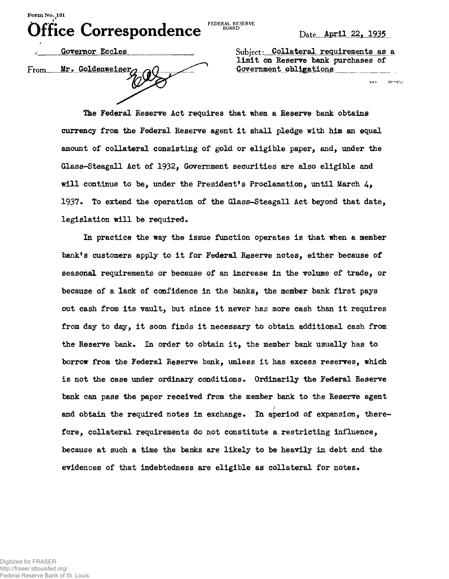**FEDERAL RESERVE**<br>BOARD

**GPO** 

 $16 - 85.1$ 

From Mr. Goldenweiser $\alpha$   $\Omega$  Government obligations

Governor Eccles **Subject:** Collateral requirements as a limit on Reserve bank purchases of

The Federal Reserve Act requires that when a Reserve bank obtains currency from the Federal Reserve agent it shall pledge with him an equal amount of collateral consisting of gold or eligible paper, and, under the Glass-Steagall Act of 1932, Government securities are also eligible and will continue to be, under the President's Proclamation, until March  $4$ , 1937. To extend the operation of the Glass-Steagall Act beyond that date, legislation will be required.

In practice the way the issue function operates is that when a member bank's customers apply to it for Federal Reserve notes, either because of seasonal requirements or because of an increase in the volume of trade, or because of a lack of confidence in the banks, the member bank first pays out cash from its vault, but since it never has more cash than it requires from day to day, it soon finds it necessary to obtain additional cash from the Reserve bank. In order to obtain it, the member bank usually has to borrow from the Federal Reserve bank, unless it has excess reserves, which is not the case under ordinary conditions. Ordinarily the Federal Reserve bank can pass the paper received from the member bank to the Reserve agent and obtain the required notes in exchange. In aperiod of expansion, therefore, collateral requirements do not constitute a restricting influence, because at such a time the banks are likely to be heavily in debt and the evidences of that indebtedness are eligible as collateral for notes.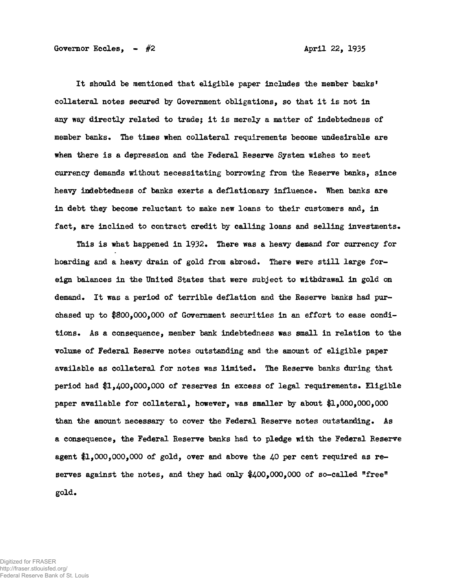It should be mentioned that eligible paper includes the member banks' collateral notes secured by Government obligations, so that it is not in any way directly related to tradej it is merely a matter of indebtedness of member banks. The times when collateral requirements become undesirable are when there is a depression and the Federal Reserve System wishes to meet currency demands without necessitating borrowing from the Reserve banks, since heavy indebtedness of banks exerts a deflationary influence. When banks are in debt they become reluctant to make new loans to their customers and, in fact, are inclined to contract credit by calling loans and selling investments.

This is what happened in 1932. There was a heavy demand for currency for hoarding and a heavy drain of gold from abroad. There were still large foreign balances in the United States that were subject to withdrawal in gold on demand. It was a period of terrible deflation and the Reserve banks had purchased up to #800,000,000 of Government securities in an effort to ease conditions. As a consequence, member bank indebtedness was small in relation to the volume of Federal Reserve notes outstanding and the amount of eligible paper available as collateral for notes was limited. The Reserve banks during that period had \$1,400,000,000 of reserves in excess of legal requirements. Eligible paper available for collateral, however, was smaller by about #1,000,000,000 than the amount necessary to cover the Federal Reserve notes outstanding. As a consequence, the Federal Reserve banks had to pledge with the Federal Reserve agent  $1,000,000,000$  of gold, over and above the 40 per cent required as reserves against the notes, and they had only  $400,000,000$  of so-called "free" gold.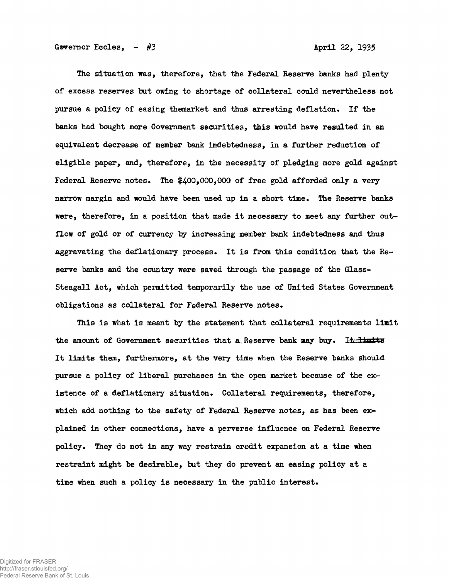The situation was, therefore, that the Federal Reserve banks had plenty of excess reserves but owing to shortage of collateral could nevertheless not pursue a policy of easing themarket and thus arresting deflation. If the banks had bought more Government securities, this would have resulted in an equivalent decrease of member bank indebtedness, in a further reduction of eligible paper, and, therefore, in the necessity of pledging more gold against Federal Reserve notes. The  $$400,000,000$  of free gold afforded only a very narrow margin and would have been used up in a short time. The Reserve banks were, therefore, in a position that made it necessary to meet any further outflow of gold or of currency by increasing member bank indebtedness and thus aggravating the deflationary process. It is from this condition that the Reserve banks and the country were saved through the passage of the Glass-Steagall Act, which permitted temporarily the use of United States Government obligations as collateral for Federal Reserve notes.

This is what is meant by the statement that collateral requirements limit the amount of Government securities that a Reserve bank may buy. It 11 mlts It limits them, furthermore, at the very time when the Reserve banks should pursue a policy of liberal purchases in the open market because of the existence of a deflationary situation. Collateral requirements, therefore, which add nothing to the safety of Federal Reserve notes, as has been explained in other connections, have a perverse influence on Federal Reserve policy. They do not in any way restrain credit expansion at a time when restraint might be desirable, but they do prevent an easing policy at a time when such a policy is necessary in the public interest.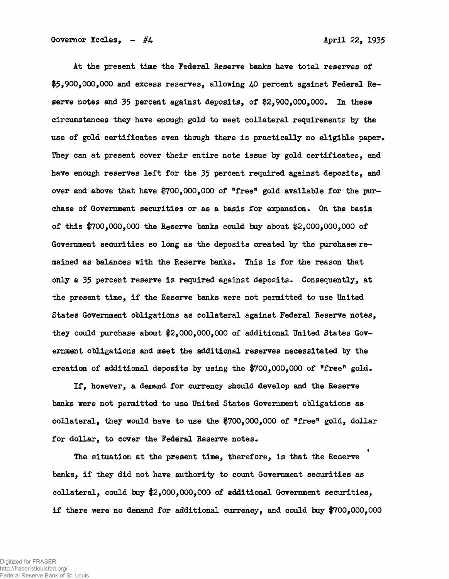Governor Eccles,  $-$  #4  $\overline{a}$  April 22, 1935

At the present time the Federal Reserve banks have total reserves of \$5,900,000,000 and excess reserves, allowing 40 percent against Federal Reserve notes and 35 percent against deposits, of  $2,900,000,000$ . In these circumstances they have enough gold to meet collateral requirements by the use of gold certificates even though there is practically no eligible paper. They can at present cover their entire note issue by gold certificates, and have enough reserves left for the 35 percent required against deposits, and over and above that have  $*700,000,000$  of "free" gold available for the purchase of Government securities or as a basis for expansion. On the basis of this  $$700,000,000$  the Reserve banks could buy about  $$2,000,000,000$  of Government securities so long as the deposits created by the purchases remained as balances with the Reserve banks. This is for the reason that only a  $35$  percent reserve is required against deposits. Consequently, at the present time, if the Reserve banks were not permitted to use United States Government obligations as collateral against Federal Reserve notes, they could purchase about #2,000,000,000 of additional United States Government obligations and meet the additional reserves necessitated by the creation of additional deposits by using the  $$700,000,000$  of "free" gold.

If, however, a demand for currency should develop and the Reserve banks were not permitted to use United States Government obligations as collateral, they would have to use the \$700,000,000 of "free" gold, dollar for dollar, to cover the Federal Reserve notes.

The situation at the present time, therefore, is that the Reserve banks, if they did not have authority to count Government securities as collateral, could buy #2,000,000,000 of additional Government securities, if there were no demand for additional currency, and could buy #700,000,000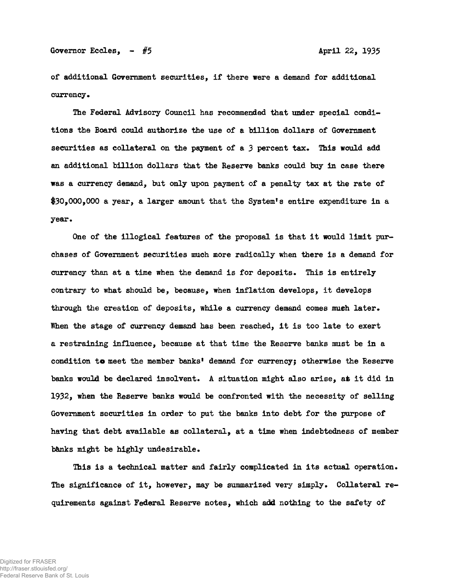of additional Government securities, if there were a demand for additional currency.

The Federal Advisory Council has recommended that under special conditions the Board could authorize the use of a billion dollars of Government securities as collateral on the payment of a  $3$  percent tax. This would add an additional billion dollars that the Reserve banks could buy in case there was a currency demand, but only upon payment of a penalty tax at the rate of \$30,000,000 a year, a larger amount that the System's entire expenditure in a year.

One of the illogical features of the proposal is that it would limit purchases of Government securities much more radically when there is a demand for currency than at a time when the demand is for deposits. This is entirely contrary to what should be, because, when inflation develops, it develops through the creation of deposits, while a currency demand comes much later. When the stage of currency demand has been reached, it is too late to exert a restraining influence, because at that time the Reserve banks must be in a condition to meet the member banks' demand for currency; otherwise the Reserve banks would be declared insolvent. A situation might also arise, at it did in 1932, when the Reserve banks would be confronted with the necessity of selling Government securities in order to put the banks into debt for the purpose of having that debt available as collateral, at a time when indebtedness of member banks might be highly undesirable.

This is a technical matter and fairly complicated in its actual operation. The significance of it, however, may be summarized very simply. Collateral requirements against Federal Reserve notes, which add nothing to the safety of